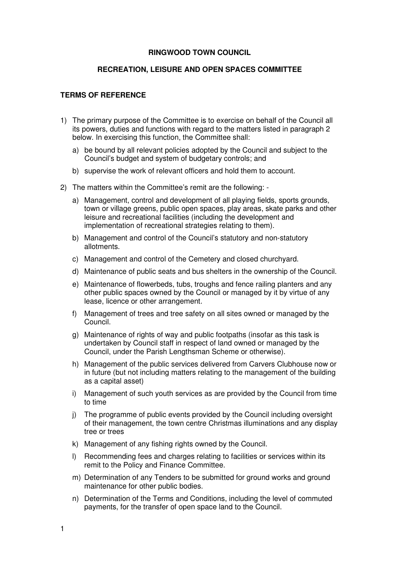## **RINGWOOD TOWN COUNCIL**

## **RECREATION, LEISURE AND OPEN SPACES COMMITTEE**

## **TERMS OF REFERENCE**

- 1) The primary purpose of the Committee is to exercise on behalf of the Council all its powers, duties and functions with regard to the matters listed in paragraph 2 below. In exercising this function, the Committee shall:
	- a) be bound by all relevant policies adopted by the Council and subject to the Council's budget and system of budgetary controls; and
	- b) supervise the work of relevant officers and hold them to account.
- 2) The matters within the Committee's remit are the following:
	- a) Management, control and development of all playing fields, sports grounds, town or village greens, public open spaces, play areas, skate parks and other leisure and recreational facilities (including the development and implementation of recreational strategies relating to them).
	- b) Management and control of the Council's statutory and non-statutory allotments.
	- c) Management and control of the Cemetery and closed churchyard.
	- d) Maintenance of public seats and bus shelters in the ownership of the Council.
	- e) Maintenance of flowerbeds, tubs, troughs and fence railing planters and any other public spaces owned by the Council or managed by it by virtue of any lease, licence or other arrangement.
	- f) Management of trees and tree safety on all sites owned or managed by the Council.
	- g) Maintenance of rights of way and public footpaths (insofar as this task is undertaken by Council staff in respect of land owned or managed by the Council, under the Parish Lengthsman Scheme or otherwise).
	- h) Management of the public services delivered from Carvers Clubhouse now or in future (but not including matters relating to the management of the building as a capital asset)
	- i) Management of such youth services as are provided by the Council from time to time
	- j) The programme of public events provided by the Council including oversight of their management, the town centre Christmas illuminations and any display tree or trees
	- k) Management of any fishing rights owned by the Council.
	- l) Recommending fees and charges relating to facilities or services within its remit to the Policy and Finance Committee.
	- m) Determination of any Tenders to be submitted for ground works and ground maintenance for other public bodies.
	- n) Determination of the Terms and Conditions, including the level of commuted payments, for the transfer of open space land to the Council.